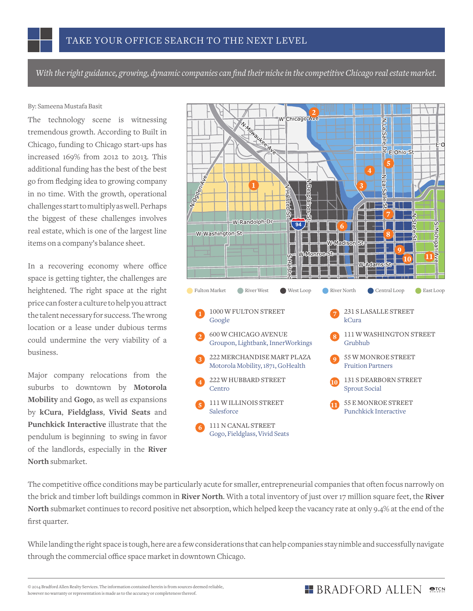*With the right guidance, growing, dynamic companies can find their niche in the competitive Chicago real estate market.*

## By: Sameena Mustafa Basit

The technology scene is witnessing tremendous growth. According to Built in Chicago, funding to Chicago start-ups has increased 169% from 2012 to 2013. This additional funding has the best of the best go from fledging idea to growing company in no time. With the growth, operational challenges start to multiply as well. Perhaps the biggest of these challenges involves real estate, which is one of the largest line items on a company's balance sheet.

In a recovering economy where office space is getting tighter, the challenges are heightened. The right space at the right price can foster a culture to help you attract the talent necessary for success. The wrong location or a lease under dubious terms could undermine the very viability of a business.

Major company relocations from the suburbs to downtown by **Motorola Mobility** and **Gogo**, as well as expansions by **kCura**, **Fieldglass**, **Vivid Seats** and **Punchkick Interactive** illustrate that the pendulum is beginning to swing in favor of the landlords, especially in the **River North** submarket.



The competitive office conditions may be particularly acute for smaller, entrepreneurial companies that often focus narrowly on the brick and timber loft buildings common in **River North**. With a total inventory of just over 17 million square feet, the **River North** submarket continues to record positive net absorption, which helped keep the vacancy rate at only 9.4% at the end of the first quarter.

While landing the right space is tough, here are a few considerations that can help companies stay nimble and successfully navigate through the commercial office space market in downtown Chicago.

© 2014 Bradford Allen Realty Services. The information contained herein is from sources deemed reliable, however no warranty or representation is made as to the accuracy or completeness thereof.